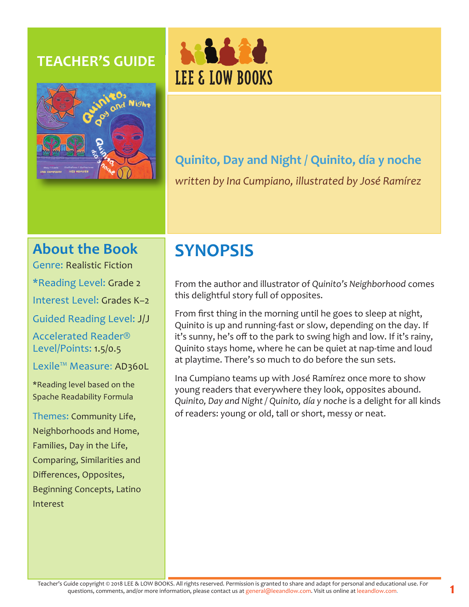### **TEACHER'S GUIDE**





## **Quinito, Day and Night / Quinito, día y noche** *written by Ina Cumpiano, illustrated by José Ramírez*

### **About the Book**

Genre: Realistic Fiction

\*Reading Level: Grade 2

Interest Level: Grades K–2

Guided Reading Level: J/J

Accelerated Reader® Level/Points: 1.5/0.5

Lexile™ Measure: AD360L

\*Reading level based on the Spache Readability Formula

Themes: Community Life, Neighborhoods and Home, Families, Day in the Life, Comparing, Similarities and Differences, Opposites, Beginning Concepts, Latino Interest

# **SYNOPSIS**

From the author and illustrator of *Quinito's Neighborhood* comes this delightful story full of opposites.

From first thing in the morning until he goes to sleep at night, Quinito is up and running-fast or slow, depending on the day. If it's sunny, he's off to the park to swing high and low. If it's rainy, Quinito stays home, where he can be quiet at nap-time and loud at playtime. There's so much to do before the sun sets.

Ina Cumpiano teams up with José Ramírez once more to show young readers that everywhere they look, opposites abound. *Quinito, Day and Night / Quinito, día y noche* is a delight for all kinds of readers: young or old, tall or short, messy or neat.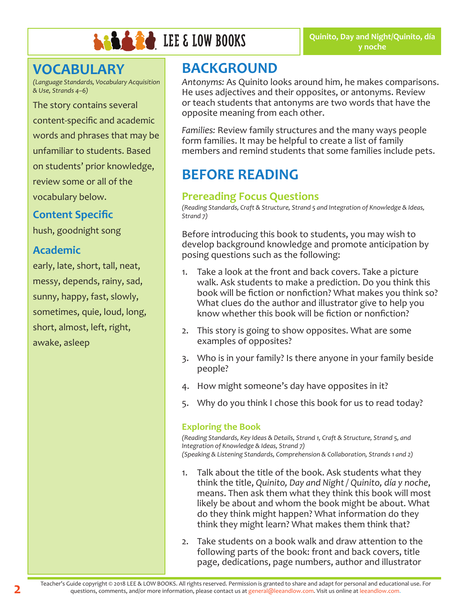

### **VOCABULARY**

*(Language Standards, Vocabulary Acquisition & Use, Strands 4–6)*

The story contains several content-specific and academic words and phrases that may be unfamiliar to students. Based on students' prior knowledge, review some or all of the vocabulary below.

#### **Content Specific**

hush, goodnight song

#### **Academic**

early, late, short, tall, neat, messy, depends, rainy, sad, sunny, happy, fast, slowly, sometimes, quie, loud, long, short, almost, left, right, awake, asleep

## **BACKGROUND**

*Antonyms:* As Quinito looks around him, he makes comparisons. He uses adjectives and their opposites, or antonyms. Review or teach students that antonyms are two words that have the opposite meaning from each other.

*Families:* Review family structures and the many ways people form families. It may be helpful to create a list of family members and remind students that some families include pets.

## **BEFORE READING**

#### **Prereading Focus Questions**

*(Reading Standards, Craft & Structure, Strand 5 and Integration of Knowledge & Ideas, Strand 7)*

Before introducing this book to students, you may wish to develop background knowledge and promote anticipation by posing questions such as the following:

- 1. Take a look at the front and back covers. Take a picture walk. Ask students to make a prediction. Do you think this book will be fiction or nonfiction? What makes you think so? What clues do the author and illustrator give to help you know whether this book will be fiction or nonfiction?
- 2. This story is going to show opposites. What are some examples of opposites?
- 3. Who is in your family? Is there anyone in your family beside people?
- 4. How might someone's day have opposites in it?
- 5. Why do you think I chose this book for us to read today?

#### **Exploring the Book**

*(Reading Standards, Key Ideas & Details, Strand 1, Craft & Structure, Strand 5, and Integration of Knowledge & Ideas, Strand 7) (Speaking & Listening Standards, Comprehension & Collaboration, Strands 1 and 2)*

- 1. Talk about the title of the book. Ask students what they think the title, *Quinito, Day and Night / Quinito, día y noche*, means. Then ask them what they think this book will most likely be about and whom the book might be about. What do they think might happen? What information do they think they might learn? What makes them think that?
- 2. Take students on a book walk and draw attention to the following parts of the book: front and back covers, title page, dedications, page numbers, author and illustrator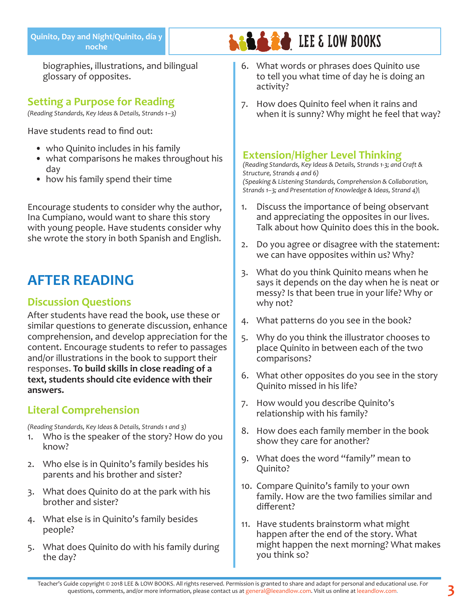biographies, illustrations, and bilingual glossary of opposites.

#### **Setting a Purpose for Reading**

*(Reading Standards, Key Ideas & Details, Strands 1–3)*

Have students read to find out:

- who Quinito includes in his family
- what comparisons he makes throughout his day
- how his family spend their time

Encourage students to consider why the author, Ina Cumpiano, would want to share this story with young people. Have students consider why she wrote the story in both Spanish and English.

## **AFTER READING**

#### **Discussion Questions**

After students have read the book, use these or similar questions to generate discussion, enhance comprehension, and develop appreciation for the content. Encourage students to refer to passages and/or illustrations in the book to support their responses. **To build skills in close reading of a text, students should cite evidence with their answers.**

### **Literal Comprehension**

*(Reading Standards, Key Ideas & Details, Strands 1 and 3)*

- 1. Who is the speaker of the story? How do you know?
- 2. Who else is in Quinito's family besides his parents and his brother and sister?
- 3. What does Quinito do at the park with his brother and sister?
- 4. What else is in Quinito's family besides people?
- 5. What does Quinito do with his family during the day?

6. What words or phrases does Quinito use to tell you what time of day he is doing an activity?

**LEE & LOW BOOKS** 

7. How does Quinito feel when it rains and when it is sunny? Why might he feel that way?

#### **Extension/Higher Level Thinking**

*(Reading Standards, Key Ideas & Details, Strands 1-3; and Craft & Structure, Strands 4 and 6) (Speaking & Listening Standards, Comprehension & Collaboration, Strands 1–3; and Presentation of Knowledge & Ideas, Strand 4)\*

- 1. Discuss the importance of being observant and appreciating the opposites in our lives. Talk about how Quinito does this in the book.
- 2. Do you agree or disagree with the statement: we can have opposites within us? Why?
- 3. What do you think Quinito means when he says it depends on the day when he is neat or messy? Is that been true in your life? Why or why not?
- 4. What patterns do you see in the book?
- 5. Why do you think the illustrator chooses to place Quinito in between each of the two comparisons?
- 6. What other opposites do you see in the story Quinito missed in his life?
- 7. How would you describe Quinito's relationship with his family?
- 8. How does each family member in the book show they care for another?
- 9. What does the word "family" mean to Quinito?
- 10. Compare Quinito's family to your own family. How are the two families similar and different?
- 11. Have students brainstorm what might happen after the end of the story. What might happen the next morning? What makes you think so?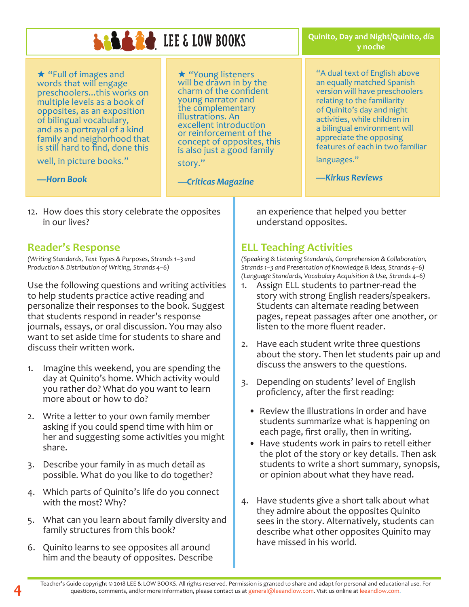## **LADA 20** LEE & LOW BOOKS

\* "Full of images and words that will engage preschoolers...this works on multiple levels as a book of opposites, as an exposition of bilingual vocabulary, and as a portrayal of a kind family and neighorhood that is still hard to find, done this

well, in picture books."

 $\star$  "Young listeners<br>will be drawn in by the charm of the confident young narrator and the complementary illustrations. An excellent introduction or reinforcement of the concept of opposites, this is also just a good family

*—Críticas Magazine*

story."

*—Horn Book*

12. How does this story celebrate the opposites in our lives?

#### **Reader's Response**

*(Writing Standards, Text Types & Purposes, Strands 1–3 and Production & Distribution of Writing, Strands 4–6)*

Use the following questions and writing activities to help students practice active reading and personalize their responses to the book. Suggest that students respond in reader's response journals, essays, or oral discussion. You may also want to set aside time for students to share and discuss their written work.

- 1. Imagine this weekend, you are spending the day at Quinito's home. Which activity would you rather do? What do you want to learn more about or how to do?
- 2. Write a letter to your own family member asking if you could spend time with him or her and suggesting some activities you might share.
- 3. Describe your family in as much detail as possible. What do you like to do together?
- 4. Which parts of Quinito's life do you connect with the most? Why?
- 5. What can you learn about family diversity and family structures from this book?
- 6. Quinito learns to see opposites all around him and the beauty of opposites. Describe

"A dual text of English above an equally matched Spanish version will have preschoolers

> relating to the familiarity of Quinito's day and night activities, while children in a bilingual environment will appreciate the opposing features of each in two familiar

**Quinito, Day and Night/Quinito, día y noche**

languages."

*—Kirkus Reviews*

an experience that helped you better understand opposites.

### **ELL Teaching Activities**

*(Speaking & Listening Standards, Comprehension & Collaboration, Strands 1–3 and Presentation of Knowledge & Ideas, Strands 4–6) (Language Standards, Vocabulary Acquisition & Use, Strands 4–6)*

- 1. Assign ELL students to partner-read the story with strong English readers/speakers. Students can alternate reading between pages, repeat passages after one another, or listen to the more fluent reader.
- 2. Have each student write three questions about the story. Then let students pair up and discuss the answers to the questions.
- 3. Depending on students' level of English proficiency, after the first reading:
	- Review the illustrations in order and have students summarize what is happening on each page, first orally, then in writing.
	- Have students work in pairs to retell either the plot of the story or key details. Then ask students to write a short summary, synopsis, or opinion about what they have read.
- 4. Have students give a short talk about what they admire about the opposites Quinito sees in the story. Alternatively, students can describe what other opposites Quinito may have missed in his world.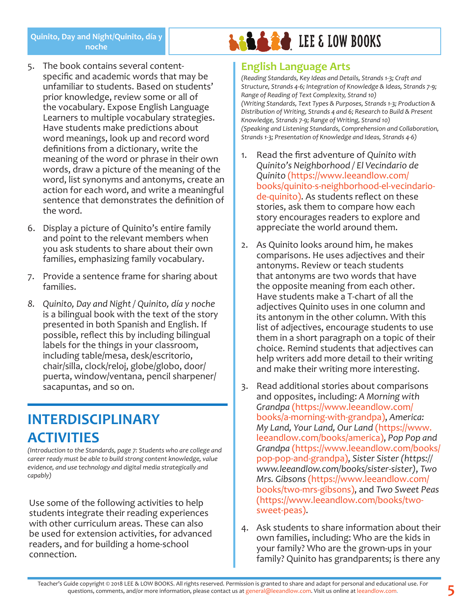- 5. The book contains several contentspecific and academic words that may be unfamiliar to students. Based on students' prior knowledge, review some or all of the vocabulary. Expose English Language Learners to multiple vocabulary strategies. Have students make predictions about word meanings, look up and record word definitions from a dictionary, write the meaning of the word or phrase in their own words, draw a picture of the meaning of the word, list synonyms and antonyms, create an action for each word, and write a meaningful sentence that demonstrates the definition of the word.
- 6. Display a picture of Quinito's entire family and point to the relevant members when you ask students to share about their own families, emphasizing family vocabulary.
- 7. Provide a sentence frame for sharing about families.
- *8. Quinito, Day and Night / Quinito, día y noche*  is a bilingual book with the text of the story presented in both Spanish and English. If possible, reflect this by including bilingual labels for the things in your classroom, including table/mesa, desk/escritorio, chair/silla, clock/reloj, globe/globo, door/ puerta, window/ventana, pencil sharpener/ sacapuntas, and so on.

## **INTERDISCIPLINARY ACTIVITIES**

*(Introduction to the Standards, page 7: Students who are college and career ready must be able to build strong content knowledge, value evidence, and use technology and digital media strategically and capably)*

Use some of the following activities to help students integrate their reading experiences with other curriculum areas. These can also be used for extension activities, for advanced readers, and for building a home-school connection.

# **LALACE LEE & LOW BOOKS**

#### **English Language Arts**

*(Reading Standards, Key Ideas and Details, Strands 1-3; Craft and Structure, Strands 4-6; Integration of Knowledge & Ideas, Strands 7-9; Range of Reading of Text Complexity, Strand 10) (Writing Standards, Text Types & Purposes, Strands 1-3; Production & Distribution of Writing, Strands 4 and 6; Research to Build & Present Knowledge, Strands 7-9; Range of Writing, Strand 10) (Speaking and Listening Standards, Comprehension and Collaboration, Strands 1-3; Presentation of Knowledge and Ideas, Strands 4-6)*

- 1. Read the first adventure of *Quinito with Quinito's Neighborhood / El Vecindario de Quinito* (https://www.leeandlow.com/ books/quinito-s-neighborhood-el-vecindariode-quinito). As students reflect on these stories, ask them to compare how each story encourages readers to explore and appreciate the world around them.
- 2. As Quinito looks around him, he makes comparisons. He uses adjectives and their antonyms. Review or teach students that antonyms are two words that have the opposite meaning from each other. Have students make a T-chart of all the adjectives Quinito uses in one column and its antonym in the other column. With this list of adjectives, encourage students to use them in a short paragraph on a topic of their choice. Remind students that adjectives can help writers add more detail to their writing and make their writing more interesting.
- 3. Read additional stories about comparisons and opposites, including: *A Morning with Grandpa* (https://www.leeandlow.com/ books/a-morning-with-grandpa), *America: My Land, Your Land, Our Land* (https://www. leeandlow.com/books/america), *Pop Pop and Grandpa* (https://www.leeandlow.com/books/ pop-pop-and-grandpa), *Sister Sister (https:// www.leeandlow.com/books/sister-sister)*, *Two Mrs. Gibsons* (https://www.leeandlow.com/ books/two-mrs-gibsons), and *Two Sweet Peas*  (https://www.leeandlow.com/books/twosweet-peas).
- 4. Ask students to share information about their own families, including: Who are the kids in your family? Who are the grown-ups in your family? Quinito has grandparents; is there any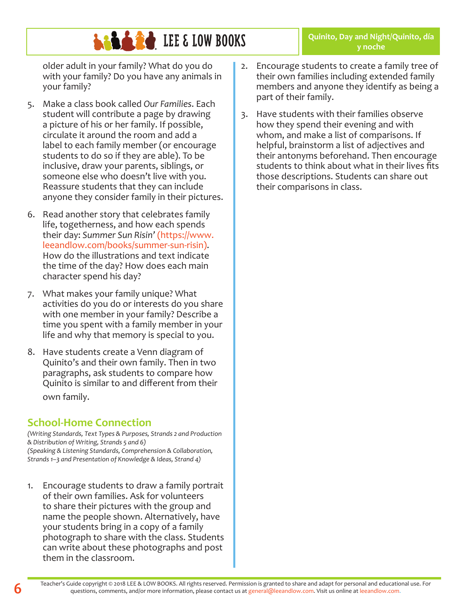# **LEE & LOW BOOKS**

older adult in your family? What do you do with your family? Do you have any animals in your family?

- 5. Make a class book called *Our Families*. Each student will contribute a page by drawing a picture of his or her family. If possible, circulate it around the room and add a label to each family member (or encourage students to do so if they are able). To be inclusive, draw your parents, siblings, or someone else who doesn't live with you. Reassure students that they can include anyone they consider family in their pictures.
- 6. Read another story that celebrates family life, togetherness, and how each spends their day: *Summer Sun Risin'* (https://www. leeandlow.com/books/summer-sun-risin). How do the illustrations and text indicate the time of the day? How does each main character spend his day?
- 7. What makes your family unique? What activities do you do or interests do you share with one member in your family? Describe a time you spent with a family member in your life and why that memory is special to you.
- 8. Have students create a Venn diagram of Quinito's and their own family. Then in two paragraphs, ask students to compare how Quinito is similar to and different from their own family.

### **School-Home Connection**

*(Writing Standards, Text Types & Purposes, Strands 2 and Production & Distribution of Writing, Strands 5 and 6) (Speaking & Listening Standards, Comprehension & Collaboration, Strands 1–3 and Presentation of Knowledge & Ideas, Strand 4)*

1. Encourage students to draw a family portrait of their own families. Ask for volunteers to share their pictures with the group and name the people shown. Alternatively, have your students bring in a copy of a family photograph to share with the class. Students can write about these photographs and post them in the classroom.

2. Encourage students to create a family tree of their own families including extended family members and anyone they identify as being a part of their family.

**Quinito, Day and Night/Quinito, día y noche**

3. Have students with their families observe how they spend their evening and with whom, and make a list of comparisons. If helpful, brainstorm a list of adjectives and their antonyms beforehand. Then encourage students to think about what in their lives fits those descriptions. Students can share out their comparisons in class.